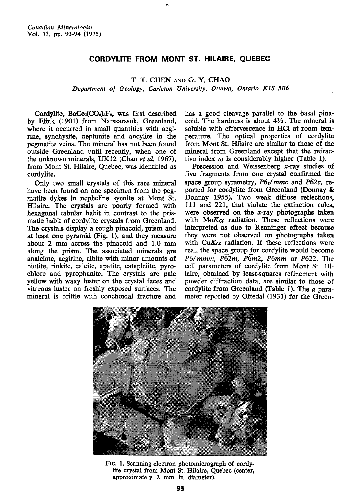## CORDYLITE FROM MONT ST. HILAIRE, QUEBEC

T. T. CHEN AND G. Y. CHAO

Department of Geology, Carleton University, Ottawa, Ontario K1S 5B6

Cordylite,  $\text{BaCe}_2(\text{CO}_3)_3\text{F}_2$ , was first described by Flink (1901) from Narssarssuk, Greenland, where it occurred in small quantities with aegirine, synchysite, neptunite and ancylite in the pegmatite veins. The mineral has not been found outside Greenland until recently, when one of the unknown minerals, UK12 (Chao et al. 1967), from Mont St. Hilaire, Quebec, was identified as cordylite.

OnIy two small crystals of this rare mineral have been found on one specimen from the pegmatite dykes in nepheline syenite at Mont St. Hilaire. The crystals are poorly formed with hexagonal tabular habit in contrast to the prismatic habit of cordylite crystals from Greenland. The crystals display a rough pinacoid, prism and at least one pyramid (Fig.  $1$ ), and they measure about 2 mm across the pinacoid and 1.O mm along the prism. The associated minerals are analeime, aegirine, albite with minor amounts of biotite, rinkite, calcite, apatite, catapleiite, pyrochlore and pyrophanite. The crystals are pale yellow with waxy luster on the crystal faces and vitreous luster on freshly exposed surfaces. The mineral is brittle with conchoidal fracture and

has a good cleavage parallel to the basal pinacoid. The hardness is about  $4\frac{1}{2}$ . The mineral is soluble with effervescence in HCI at room temperature. The optical properties of cordylite from Mont St. Hilaire are similar to those of the mineral from Greenland except that the refrastive index  $\omega$  is considerably higher (Table 1).

Precession and Weissenberg  $x$ -ray studies of five fragnents from one crystal confirmed the space group symmetry,  $P6_3/mmc$  and P62c, reported for cordylite from Greenland (Donnay & Donnay 1955). Two weak diffuse reflections, 111 and 221, that violate the extinction rules, were observed on the  $x$ -ray photographs taken with  $M \circ K \alpha$  radiation. These reflections were interpreted as due to Renninger effect because they were not observed on photographs taken with CuK $\alpha$  radiation. If these reflections were real, the space group for cordylite would become  $P6/mmm$ ,  $P62m$ ,  $P6m2$ ,  $P6mm$  or  $P622$ . The cell parameters of cordylite from Mont St. Hilaire, obtained by least-squares refinement with powder diffraction data, are similar to those of cordylite from Greenland (fable 1). The a parameter reported by Oftedal (1931) for the Green-



Ftc. 1. Scanning electron photomicrograph of cordylite crystal from Mont St. Hilaire, Quebec (center, approximately 2 mm in diameter).